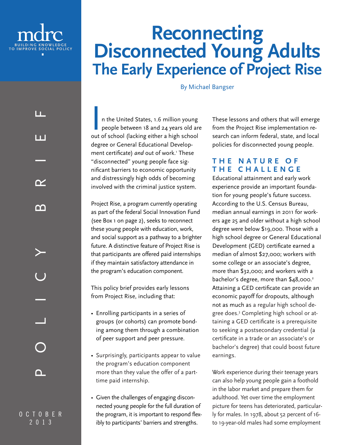

LL.

1 T I

 $\mathbf{\infty}$ 

ന

OCTOBER 2013

∩

POLICY BRIEF

# **Reconnecting<br>Disconnected Young Adults The Early Experience of Project Rise**

By Michael Bangser

n the United States, 1.6 million young people between 18 and 24 years old are out of school (lacking either a high school degree or General Educational Development certificate) *and* out of work.' These "disconnected" young people face significant barriers to economic opportunity and distressingly high odds of becoming involved with the criminal justice system.

Project Rise, a program currently operating as part of the federal Social Innovation Fund (see Box 1 on page 2), seeks to reconnect these young people with education, work, and social support as a pathway to a brighter future. A distinctive feature of Project Rise is that participants are offered paid internships if they maintain satisfactory attendance in the program's education component.

This policy brief provides early lessons from Project Rise, including that:

- Enrolling participants in a series of groups (or cohorts) can promote bonding among them through a combination of peer support and peer pressure.
- Surprisingly, participants appear to value the program's education component more than they value the offer of a parttime paid internship.
- Given the challenges of engaging disconnected young people for the full duration of the program, it is important to respond flexibly to participants' barriers and strengths.

These lessons and others that will emerge from the Project Rise implementation research can inform federal, state, and local policies for disconnected young people.

# **T H E N A T U R E O F THE CHALLENGE**

Educational attainment and early work experience provide an important foundation for young people's future success. According to the U.S. Census Bureau, median annual earnings in 2011 for workers age 25 and older without a high school degree were below \$19,000. Those with a high school degree or General Educational Development (GED) certificate earned a median of almost \$27,000; workers with some college or an associate's degree, more than \$32,000; and workers with a bachelor's degree, more than \$48,000.<sup>2</sup> Attaining a GED certificate can provide an economic payoff for dropouts, although not as much as a regular high school degree does.3 Completing high school or attaining a GED certificate is a prerequisite to seeking a postsecondary credential (a certificate in a trade or an associate's or bachelor's degree) that could boost future earnings.

Work experience during their teenage years can also help young people gain a foothold in the labor market and prepare them for adulthood. Yet over time the employment picture for teens has deteriorated, particularly for males. In 1978, about 52 percent of 16 to 19-year-old males had some employment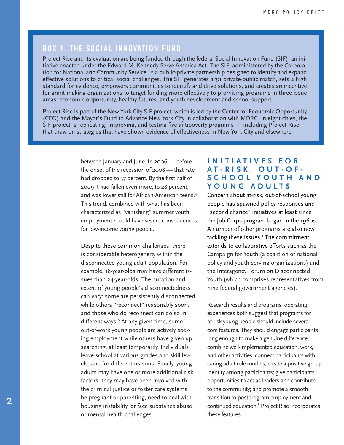# **BOX 1. THE SOCIAL INNOVATION FUND**

Project Rise and its evaluation are being funded through the federal Social Innovation Fund (SIF), an initiative enacted under the Edward M. Kennedy Serve America Act. The SIF, administered by the Corporation for National and Community Service, is a public-private partnership designed to identify and expand effective solutions to critical social challenges. The SIF generates a 3:1 private-public match, sets a high standard for evidence, empowers communities to identify and drive solutions, and creates an incentive for grant-making organizations to target funding more effectively to promising programs in three issue areas: economic opportunity, healthy futures, and youth development and school support.

Project Rise is part of the New York City SIF project, which is led by the Center for Economic Opportunity (CEO) and the Mayor's Fund to Advance New York City in collaboration with MDRC. In eight cities, the SIF project is replicating, improving, and testing five antipoverty programs — including Project Rise that draw on strategies that have shown evidence of effectiveness in New York City and elsewhere.

> between January and June. In 2006 — before the onset of the recession of 2008 — that rate had dropped to 37 percent. By the first half of 2009 it had fallen even more, to 28 percent, and was lower still for African-American teens.4 This trend, combined with what has been characterized as "vanishing" summer youth employment,<sup>5</sup> could have severe consequences for low-income young people.

Despite these common challenges, there is considerable heterogeneity within the disconnected young adult population. For example, 18-year-olds may have different issues than 24-year-olds. The duration and extent of young people's disconnectedness can vary: some are persistently disconnected while others "reconnect" reasonably soon, and those who do reconnect can do so in different ways.<sup>6</sup> At any given time, some out-of-work young people are actively seeking employment while others have given up searching, at least temporarily. Individuals leave school at various grades and skill levels, and for different reasons. Finally, young adults may have one or more additional risk factors: they may have been involved with the criminal justice or foster care systems, be pregnant or parenting, need to deal with housing instability, or face substance abuse or mental health challenges.

#### **I N I T I A T I V E S F O R AT-RISK, OUT-OF-**S C H O O L Y O U T H A N D **YOUNG ADULTS**

Concern about at-risk, out-of-school young people has spawned policy responses and "second chance" initiatives at least since the Job Corps program began in the 1960s. A number of other programs are also now tackling these issues.7 The commitment extends to collaborative efforts such as the Campaign for Youth (a coalition of national policy and youth-serving organizations) and the Interagency Forum on Disconnected Youth (which comprises representatives from nine federal government agencies).

Research results and programs' operating experiences both suggest that programs for at-risk young people should include several core features. They should engage participants long enough to make a genuine difference; combine well-implemented education, work, and other activities; connect participants with caring adult role models; create a positive group identity among participants; give participants opportunities to act as leaders and contribute to the community; and promote a smooth transition to postprogram employment and continued education.8 Project Rise incorporates these features.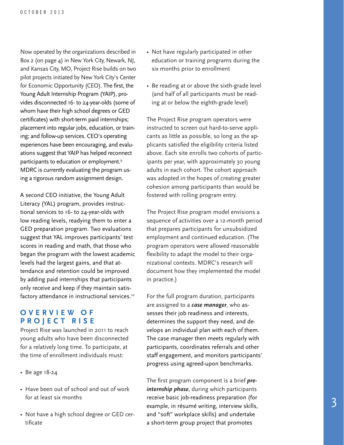Now operated by the organizations described in Box 2 (on page 4) in New York City, Newark, NJ, and Kansas City, MO, Project Rise builds on two pilot projects initiated by New York City's Center for Economic Opportunity (CEO). The first, the Young Adult Internship Program (YAIP), provides disconnected 16- to 24-year-olds (some of whom have their high school degrees or GED certificates) with short-term paid internships; placement into regular jobs, education, or training; and follow-up services. CEO's operating experiences have been encouraging, and evaluations suggest that YAIP has helped reconnect participants to education or employment.9 MDRC is currently evaluating the program using a rigorous random assignment design.

A second CEO initiative, the Young Adult Literacy (YAL) program, provides instructional services to 16- to 24-year-olds with low reading levels, readying them to enter a GED preparation program. Two evaluations suggest that YAL improves participants' test scores in reading and math, that those who began the program with the lowest academic levels had the largest gains, and that attendance and retention could be improved by adding paid internships that participants only receive and keep if they maintain satisfactory attendance in instructional services.<sup>10</sup>

# **O V E R V I E W O F PROJECT RISE**

Project Rise was launched in 2011 to reach young adults who have been disconnected for a relatively long time. To participate, at the time of enrollment individuals must:

- Be age 18-24
- Have been out of school and out of work for at least six months
- Not have a high school degree or GED certificate
- Not have regularly participated in other education or training programs during the six months prior to enrollment
- Be reading at or above the sixth-grade level (and half of all participants must be reading at or below the eighth-grade level)

The Project Rise program operators were instructed to screen out hard-to-serve applicants as little as possible, so long as the applicants satisfied the eligibility criteria listed above. Each site enrolls two cohorts of participants per year, with approximately 30 young adults in each cohort. The cohort approach was adopted in the hopes of creating greater cohesion among participants than would be fostered with rolling program entry.

The Project Rise program model envisions a sequence of activities over a 12-month period that prepares participants for unsubsidized employment and continued education. (The program operators were allowed reasonable flexibility to adapt the model to their organizational contexts. MDRC's research will document how they implemented the model in practice.)

For the full program duration, participants are assigned to a *case manager*, who assesses their job readiness and interests, determines the support they need, and develops an individual plan with each of them. The case manager then meets regularly with participants, coordinates referrals and other staff engagement, and monitors participants' progress using agreed-upon benchmarks.

The first program component is a brief *preinternship phase*, during which participants receive basic job-readiness preparation (for example, in résumé writing, interview skills, and "soft" workplace skills) and undertake a short-term group project that promotes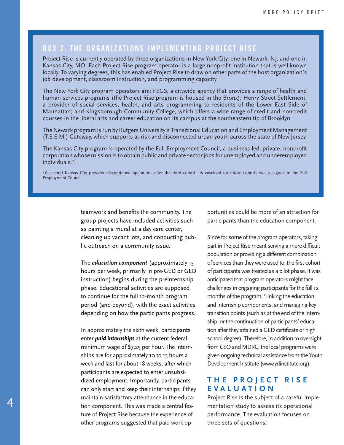# **BOX 2. THE ORGANIZATIONS IMPLEMENTING PROJECT RISE**

Project Rise is currently operated by three organizations in New York City, one in Newark, NJ, and one in Kansas City, MO. Each Project Rise program operator is a large nonprofit institution that is well known locally. To varying degrees, this has enabled Project Rise to draw on other parts of the host organization's job development, classroom instruction, and programming capacity.

The New York City program operators are: FEGS, a citywide agency that provides a range of health and human services programs (the Project Rise program is housed in the Bronx); Henry Street Settlement, a provider of social services, health, and arts programming to residents of the Lower East Side of Manhattan; and Kingsborough Community College, which offers a wide range of credit and noncredit courses in the liberal arts and career education on its campus at the southeastern tip of Brooklyn.

The Newark program is run by Rutgers University's Transitional Education and Employment Management (T.E.E.M.) Gateway, which supports at-risk and disconnected urban youth across the state of New Jersey.

The Kansas City program is operated by the Full Employment Council, a business-led, private, nonprofit corporation whose mission is to obtain public and private sector jobs for unemployed and underemployed individuals.\*

\*A second Kansas City provider discontinued operations after the third cohort. Its caseload for future cohorts was assigned to the Full Employment Council.

> teamwork and benefits the community. The group projects have included activities such as painting a mural at a day care center, cleaning up vacant lots, and conducting public outreach on a community issue.

> The *education component* (approximately 15 hours per week, primarily in pre-GED or GED instruction) begins during the preinternship phase. Educational activities are supposed to continue for the full 12-month program period (and beyond), with the exact activities depending on how the participants progress.

> In approximately the sixth week, participants enter *paid internships* at the current federal minimum wage of \$7.25 per hour. The internships are for approximately 10 to 15 hours a week and last for about 18 weeks, after which participants are expected to enter unsubsidized employment. Importantly, participants can only start and keep their internships if they maintain satisfactory attendance in the education component. This was made a central feature of Project Rise because the experience of other programs suggested that paid work op-

4

portunities could be more of an attraction for participants than the education component.

Since for some of the program operators, taking part in Project Rise meant serving a more difficult population or providing a different combination of services than they were used to, the first cohort of participants was treated as a pilot phase. It was anticipated that program operators might face challenges in engaging participants for the full 12 months of the program," linking the education and internship components, and managing key transition points (such as at the end of the internship, or the continuation of participants' education after they attained a GED certificate or high school degree). Therefore, in addition to oversight from CEO and MDRC, the local programs were given ongoing technical assistance from the Youth Development Institute (www.ydinstitute.org).

### **T H E P R O J E C T R I S E EVALUATION**

Project Rise is the subject of a careful implementation study to assess its operational performance. The evaluation focuses on three sets of questions: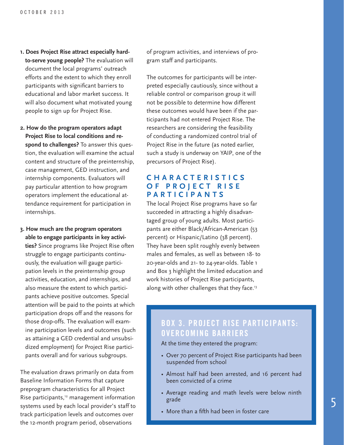- **1. Does Project Rise attract especially hardto-serve young people?** The evaluation will document the local programs' outreach efforts and the extent to which they enroll participants with significant barriers to educational and labor market success. It will also document what motivated young people to sign up for Project Rise.
- **2. How do the program operators adapt Project Rise to local conditions and respond to challenges?** To answer this question, the evaluation will examine the actual content and structure of the preinternship, case management, GED instruction, and internship components. Evaluators will pay particular attention to how program operators implement the educational attendance requirement for participation in internships.
- **3. How much are the program operators able to engage participants in key activities?** Since programs like Project Rise often struggle to engage participants continuously, the evaluation will gauge participation levels in the preinternship group activities, education, and internships, and also measure the extent to which participants achieve positive outcomes. Special attention will be paid to the points at which participation drops off and the reasons for those drop-offs. The evaluation will examine participation levels and outcomes (such as attaining a GED credential and unsubsidized employment) for Project Rise participants overall and for various subgroups.

The evaluation draws primarily on data from Baseline Information Forms that capture preprogram characteristics for all Project Rise participants,<sup>12</sup> management information systems used by each local provider's staff to track participation levels and outcomes over the 12-month program period, observations

of program activities, and interviews of program staff and participants.

The outcomes for participants will be interpreted especially cautiously, since without a reliable control or comparison group it will not be possible to determine how different these outcomes would have been if the participants had not entered Project Rise. The researchers are considering the feasibility of conducting a randomized control trial of Project Rise in the future (as noted earlier, such a study is underway on YAIP, one of the precursors of Project Rise).

# **C H A R A C T E R I S T I C S O F P R O J E C T R I S E PARTICIPANTS**

The local Project Rise programs have so far succeeded in attracting a highly disadvantaged group of young adults. Most participants are either Black/African-American (53 percent) or Hispanic/Latino (38 percent). They have been split roughly evenly between males and females, as well as between 18- to 20-year-olds and 21- to 24-year-olds. Table 1 and Box 3 highlight the limited education and work histories of Project Rise participants, along with other challenges that they face.<sup>13</sup>

# **BOX 3. PROJECT RISE PARTICIPANTS: OVERCOMING BARRIERS**

At the time they entered the program:

- Over 70 percent of Project Rise participants had been suspended from school
- Almost half had been arrested, and 16 percent had been convicted of a crime
- Average reading and math levels were below ninth grade
- More than a fifth had been in foster care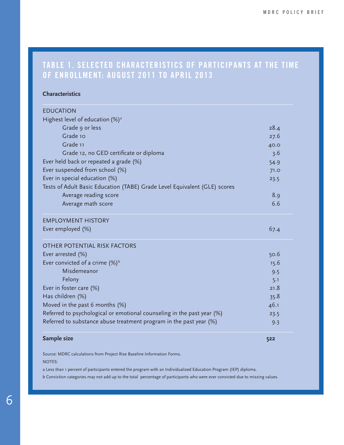# **TABLE 1. SELECTED CHARACTERISTICS OF PARTICIPANTS AT THE TIME OF ENROLLMENT: AUGUST 2011 TO APRIL 2013**

#### **Characteristics**

| <b>FDUCATION</b>                                                          |      |
|---------------------------------------------------------------------------|------|
| Highest level of education (%) <sup>a</sup>                               |      |
| Grade 9 or less                                                           | 28.4 |
| Grade 10                                                                  | 27.6 |
| Grade 11                                                                  | 40.0 |
| Grade 12, no GED certificate or diploma                                   | 3.6  |
| Ever held back or repeated a grade (%)                                    | 54.9 |
| Ever suspended from school (%)                                            | 71.0 |
| Ever in special education (%)                                             | 23.5 |
| Tests of Adult Basic Education (TABE) Grade Level Equivalent (GLE) scores |      |
| Average reading score                                                     | 8.9  |
| Average math score                                                        | 6.6  |
| <b>EMPLOYMENT HISTORY</b>                                                 |      |
| Ever employed (%)                                                         | 67.4 |
| <b>OTHER POTENTIAL RISK FACTORS</b>                                       |      |
| Ever arrested (%)                                                         | 50.6 |
| Ever convicted of a crime $(\%)^b$                                        | 15.6 |
| Misdemeanor                                                               | 9.5  |
| Felony                                                                    | 5.1  |
| Ever in foster care (%)                                                   | 21.8 |
| Has children (%)                                                          | 35.8 |
| Moved in the past 6 months $(\%)$                                         | 46.1 |
| Referred to psychological or emotional counseling in the past year (%)    | 23.5 |
| Referred to substance abuse treatment program in the past year (%)        | 9.3  |
|                                                                           |      |

#### **Sample size 522**

Source: MDRC calculations from Project Rise Baseline Information Forms. NOTES:

a Less than 1 percent of participants entered the program with an Individualized Education Program (IEP) diploma.

b Conviction categories may not add up to the total percentage of participants who were ever convicted due to missing values.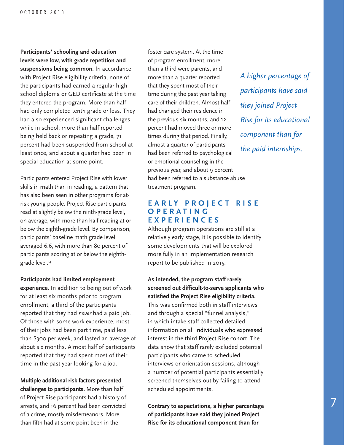**Participants' schooling and education levels were low, with grade repetition and suspensions being common.** In accordance with Project Rise eligibility criteria, none of the participants had earned a regular high school diploma or GED certificate at the time they entered the program. More than half had only completed tenth grade or less. They had also experienced significant challenges while in school: more than half reported being held back or repeating a grade, 71 percent had been suspended from school at least once, and about a quarter had been in special education at some point.

Participants entered Project Rise with lower skills in math than in reading, a pattern that has also been seen in other programs for atrisk young people. Project Rise participants read at slightly below the ninth-grade level, on average, with more than half reading at or below the eighth-grade level. By comparison, participants' baseline math grade level averaged 6.6, with more than 80 percent of participants scoring at or below the eighthgrade level.<sup>14</sup>

**Participants had limited employment experience.** In addition to being out of work for at least six months prior to program enrollment, a third of the participants reported that they had *never* had a paid job. Of those with some work experience, most of their jobs had been part time, paid less than \$300 per week, and lasted an average of about six months. Almost half of participants

**Multiple additional risk factors presented challenges to participants.** More than half of Project Rise participants had a history of arrests, and 16 percent had been convicted of a crime, mostly misdemeanors. More than fifth had at some point been in the

reported that they had spent most of their time in the past year looking for a job.

foster care system. At the time of program enrollment, more than a third were parents, and more than a quarter reported that they spent most of their time during the past year taking care of their children. Almost half had changed their residence in the previous six months, and 12 percent had moved three or more times during that period. Finally, almost a quarter of participants had been referred to psychological or emotional counseling in the previous year, and about 9 percent had been referred to a substance abuse treatment program.

## **EARLY PROJECT RISE O P E R A T I N G EXPERIENCES**

Although program operations are still at a relatively early stage, it is possible to identify some developments that will be explored more fully in an implementation research report to be published in 2015:

**As intended, the program staff rarely screened out difficult-to-serve applicants who satisfied the Project Rise eligibility criteria.** This was confirmed both in staff interviews and through a special "funnel analysis," in which intake staff collected detailed information on all individuals who expressed interest in the third Project Rise cohort. The data show that staff rarely excluded potential participants who came to scheduled interviews or orientation sessions, although a number of potential participants essentially screened themselves out by failing to attend scheduled appointments.

**Contrary to expectations, a higher percentage of participants have said they joined Project Rise for its educational component than for** 

*A higher percentage of participants have said they joined Project Rise for its educational component than for the paid internships.*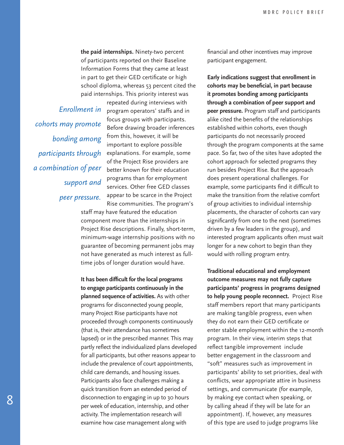**the paid internships.** Ninety-two percent of participants reported on their Baseline Information Forms that they came at least in part to get their GED certificate or high school diploma, whereas 53 percent cited the paid internships. This priority interest was

*cohorts may promote bonding among participants through a combination of peer support and peer pressure.*

repeated during interviews with Enrollment in program operators' staffs and in focus groups with participants. Before drawing broader inferences from this, however, it will be important to explore possible explanations. For example, some of the Project Rise providers are better known for their education programs than for employment services. Other free GED classes appear to be scarce in the Project Rise communities. The program's

> staff may have featured the education component more than the internships in Project Rise descriptions. Finally, short-term, minimum-wage internship positions with no guarantee of becoming permanent jobs may not have generated as much interest as fulltime jobs of longer duration would have.

**It has been difficult for the local programs to engage participants continuously in the planned sequence of activities.** As with other programs for disconnected young people, many Project Rise participants have not proceeded through components continuously (that is, their attendance has sometimes lapsed) or in the prescribed manner. This may partly reflect the individualized plans developed for all participants, but other reasons appear to include the prevalence of court appointments, child care demands, and housing issues. Participants also face challenges making a quick transition from an extended period of disconnection to engaging in up to 30 hours per week of education, internship, and other activity. The implementation research will examine how case management along with

financial and other incentives may improve participant engagement.

**Early indications suggest that enrollment in cohorts may be beneficial, in part because it promotes bonding among participants through a combination of peer support and peer pressure.** Program staff and participants alike cited the benefits of the relationships established within cohorts, even though participants do not necessarily proceed through the program components at the same pace. So far, two of the sites have adopted the cohort approach for selected programs they run besides Project Rise. But the approach does present operational challenges. For example, some participants find it difficult to make the transition from the relative comfort of group activities to individual internship placements, the character of cohorts can vary significantly from one to the next (sometimes driven by a few leaders in the group), and interested program applicants often must wait longer for a new cohort to begin than they would with rolling program entry.

**Traditional educational and employment outcome measures may not fully capture participants' progress in programs designed to help young people reconnect.** Project Rise staff members report that many participants are making tangible progress, even when they do not earn their GED certificate or enter stable employment within the 12-month program. In their view, interim steps that reflect tangible improvement include better engagement in the classroom and "soft" measures such as improvement in participants' ability to set priorities, deal with conflicts, wear appropriate attire in business settings, and communicate (for example, by making eye contact when speaking, or by calling ahead if they will be late for an appointment). If, however, any measures of this type are used to judge programs like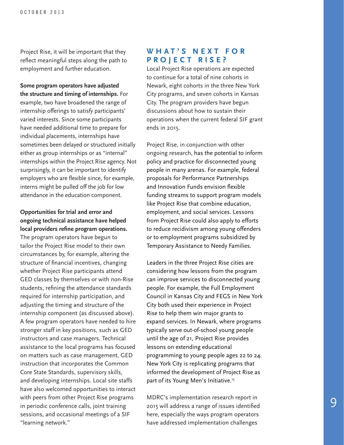Project Rise, it will be important that they reflect meaningful steps along the path to employment and further education.

**Some program operators have adjusted the structure and timing of internships.** For example, two have broadened the range of internship offerings to satisfy participants' varied interests. Since some participants have needed additional time to prepare for individual placements, internships have sometimes been delayed or structured initially either as group internships or as "internal" internships within the Project Rise agency. Not surprisingly, it can be important to identify employers who are flexible since, for example, interns might be pulled off the job for low attendance in the education component.

#### **Opportunities for trial and error and ongoing technical assistance have helped local providers refine program operations.**

The program operators have begun to tailor the Project Rise model to their own circumstances by, for example, altering the structure of financial incentives, changing whether Project Rise participants attend GED classes by themselves or with non-Rise students, refining the attendance standards required for internship participation, and adjusting the timing and structure of the internship component (as discussed above). A few program operators have needed to hire stronger staff in key positions, such as GED instructors and case managers. Technical assistance to the local programs has focused on matters such as case management, GED instruction that incorporates the Common Core State Standards, supervisory skills, and developing internships. Local site staffs have also welcomed opportunities to interact with peers from other Project Rise programs in periodic conference calls, joint training sessions, and occasional meetings of a SIF "learning network."

## **W H A T ' S N E X T F O R PROJECT RISE?**

Local Project Rise operations are expected to continue for a total of nine cohorts in Newark, eight cohorts in the three New York City programs, and seven cohorts in Kansas City. The program providers have begun discussions about how to sustain their operations when the current federal SIF grant ends in 2015.

Project Rise, in conjunction with other ongoing research, has the potential to inform policy and practice for disconnected young people in many arenas. For example, federal proposals for Performance Partnerships and Innovation Funds envision flexible funding streams to support program models like Project Rise that combine education, employment, and social services. Lessons from Project Rise could also apply to efforts to reduce recidivism among young offenders or to employment programs subsidized by Temporary Assistance to Needy Families.

Leaders in the three Project Rise cities are considering how lessons from the program can improve services to disconnected young people. For example, the Full Employment Council in Kansas City and FEGS in New York City both used their experience in Project Rise to help them win major grants to expand services. In Newark, where programs typically serve out-of-school young people until the age of 21, Project Rise provides lessons on extending educational programming to young people ages 22 to 24. New York City is replicating programs that informed the development of Project Rise as part of its Young Men's Initiative.<sup>15</sup>

MDRC's implementation research report in 2015 will address a range of issues identified here, especially the ways program operators have addressed implementation challenges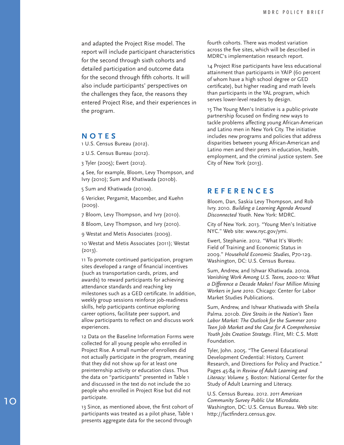and adapted the Project Rise model. The report will include participant characteristics for the second through sixth cohorts and detailed participation and outcome data for the second through fifth cohorts. It will also include participants' perspectives on the challenges they face, the reasons they entered Project Rise, and their experiences in the program.

#### **NOTES**

1 U.S. Census Bureau (2012).

2 U.S. Census Bureau (2012).

3 Tyler (2005); Ewert (2012).

4 See, for example, Bloom, Levy Thompson, and Ivry (2010); Sum and Khatiwada (2010b).

5 Sum and Khatiwada (2010a).

6 Vericker, Pergamit, Macomber, and Kuehn (2009).

7 Bloom, Levy Thompson, and Ivry (2010).

8 Bloom, Levy Thompson, and Ivry (2010).

9 Westat and Metis Associates (2009).

10 Westat and Metis Associates (2011); Westat  $(2013)$ .

11 To promote continued participation, program sites developed a range of financial incentives (such as transportation cards, prizes, and awards) to reward participants for achieving attendance standards and reaching key milestones such as a GED certificate. In addition, weekly group sessions reinforce job-readiness skills, help participants continue exploring career options, facilitate peer support, and allow participants to reflect on and discuss work experiences.

12 Data on the Baseline Information Forms were collected for all young people who enrolled in Project Rise. A small number of enrollees did not actually participate in the program, meaning that they did not show up for at least one preinternship activity or education class. Thus the data on "participants" presented in Table 1 and discussed in the text do not include the 20 people who enrolled in Project Rise but did not participate.

13 Since, as mentioned above, the first cohort of participants was treated as a pilot phase, Table 1 presents aggregate data for the second through

fourth cohorts. There was modest variation across the five sites, which will be described in MDRC's implementation research report.

14 Project Rise participants have less educational attainment than participants in YAIP (60 percent of whom have a high school degree or GED certificate), but higher reading and math levels than participants in the YAL program, which serves lower-level readers by design.

15 The Young Men's Initiative is a public-private partnership focused on finding new ways to tackle problems affecting young African-American and Latino men in New York City. The initiative includes new programs and policies that address disparities between young African-American and Latino men and their peers in education, health, employment, and the criminal justice system. See City of New York (2013).

#### **REFERENCES**

Bloom, Dan, Saskia Levy Thompson, and Rob Ivry. 2010. *Building a Learning Agenda Around Disconnected Youth*. New York: MDRC.

City of New York. 2013. "Young Men's Initiative NYC." Web site: www.nyc.gov/ymi.

Ewert, Stephanie. 2012. "What It's Worth: Field of Training and Economic Status in 2009." *Household Economic Studies*, P70-129. Washington, DC: U.S. Census Bureau.

Sum, Andrew, and Ishwar Khatiwada. 2010a. *Vanishing Work Among U.S. Teens, 2000-10: What a Difference a Decade Makes! Four Million Missing Workers in June 2010*. Chicago: Center for Labor Market Studies Publications.

Sum, Andrew, and Ishwar Khatiwada with Sheila Palma. 2010b. *Dire Straits in the Nation's Teen Labor Market: The Outlook for the Summer 2010 Teen Job Market and the Case for A Comprehensive Youth Jobs Creation Strategy*. Flint, MI: C.S. Mott Foundation.

Tyler, John. 2005. "The General Educational Development Credential: History, Current Research, and Directions for Policy and Practice." Pages 45-84 in *Review of Adult Learning and Literacy: Volume 5*. Boston: National Center for the Study of Adult Learning and Literacy.

U.S. Census Bureau. 2012. *2011 American Community Survey Public Use Microdata*. Washington, DC: U.S. Census Bureau. Web site: http://factfinder2.census.gov.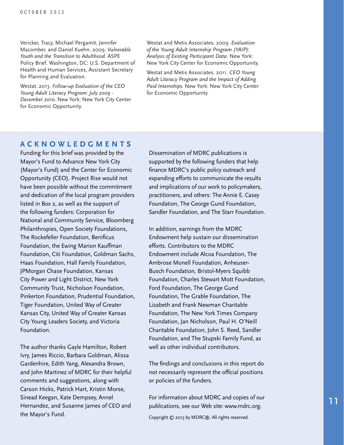Vericker, Tracy, Michael Pergamit, Jennifer Macomber, and Daniel Kuehn. 2009. *Vulnerable Youth and the Transition to Adulthood*. ASPE Policy Brief. Washington, DC: U.S. Department of Health and Human Services, Assistant Secretary for Planning and Evaluation.

Westat. 2013. *Follow-up Evaluation of the CEO Young Adult Literacy Program: July 2009 - December 2010*. New York: New York City Center for Economic Opportunity.

Westat and Metis Associates. 2009. *Evaluation of the Young Adult Internship Program (YAIP): Analysis of Existing Participant Data*. New York: New York City Center for Economic Opportunity.

Westat and Metis Associates. 2011. *CEO Young Adult Literacy Program and the Impact of Adding Paid Internships*. New York: New York City Center for Economic Opportunity.

#### **ACKNOWLEDGMENTS**

Funding for this brief was provided by the Mayor's Fund to Advance New York City (Mayor's Fund) and the Center for Economic Opportunity (CEO). Project Rise would not have been possible without the commitment and dedication of the local program providers listed in Box 2, as well as the support of the following funders: Corporation for National and Community Service, Bloomberg Philanthropies, Open Society Foundations, The Rockefeller Foundation, Benificus Foundation, the Ewing Marion Kauffman Foundation, Citi Foundation, Goldman Sachs, Haas Foundation, Hall Family Foundation, JPMorgan Chase Foundation, Kansas City Power and Light District, New York Community Trust, Nicholson Foundation, Pinkerton Foundation, Prudential Foundation, Tiger Foundation, United Way of Greater Kansas City, United Way of Greater Kansas City Young Leaders Society, and Victoria Foundation.

The author thanks Gayle Hamilton, Robert Ivry, James Riccio, Barbara Goldman, Alissa Gardenhire, Edith Yang, Alexandra Brown, and John Martinez of MDRC for their helpful comments and suggestions, along with Carson Hicks, Patrick Hart, Kristin Morse, Sinead Keegan, Kate Dempsey, Annel Hernandez, and Susanne James of CEO and the Mayor's Fund.

Dissemination of MDRC publications is supported by the following funders that help finance MDRC's public policy outreach and expanding efforts to communicate the results and implications of our work to policymakers, practitioners, and others: The Annie E. Casey Foundation, The George Gund Foundation, Sandler Foundation, and The Starr Foundation.

In addition, earnings from the MDRC Endowment help sustain our dissemination efforts. Contributors to the MDRC Endowment include Alcoa Foundation, The Ambrose Monell Foundation, Anheuser-Busch Foundation, Bristol-Myers Squibb Foundation, Charles Stewart Mott Foundation, Ford Foundation, The George Gund Foundation, The Grable Foundation, The Lizabeth and Frank Newman Charitable Foundation, The New York Times Company Foundation, Jan Nicholson, Paul H. O'Neill Charitable Foundation, John S. Reed, Sandler Foundation, and The Stupski Family Fund, as well as other individual contributors.

The findings and conclusions in this report do not necessarily represent the official positions or policies of the funders.

For information about MDRC and copies of our publications, see our Web site: www.mdrc.org.

Copyright © 2013 by MDRC®. All rights reserved.